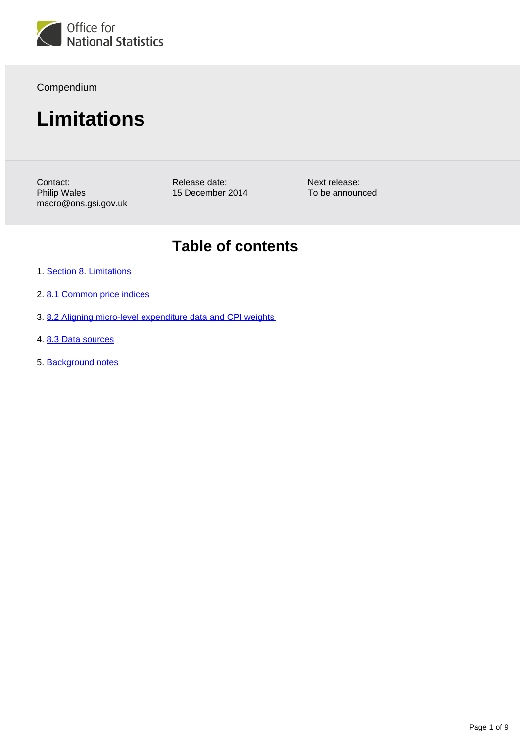

Compendium

# **Limitations**

Contact: Philip Wales macro@ons.gsi.gov.uk Release date: 15 December 2014

Next release: To be announced

# **Table of contents**

- 1. [Section 8. Limitations](#page-1-0)
- 2. [8.1 Common price indices](#page-1-1)
- 3. [8.2 Aligning micro-level expenditure data and CPI weights](#page-3-0)
- 4. [8.3 Data sources](#page-8-0)
- 5. Background notes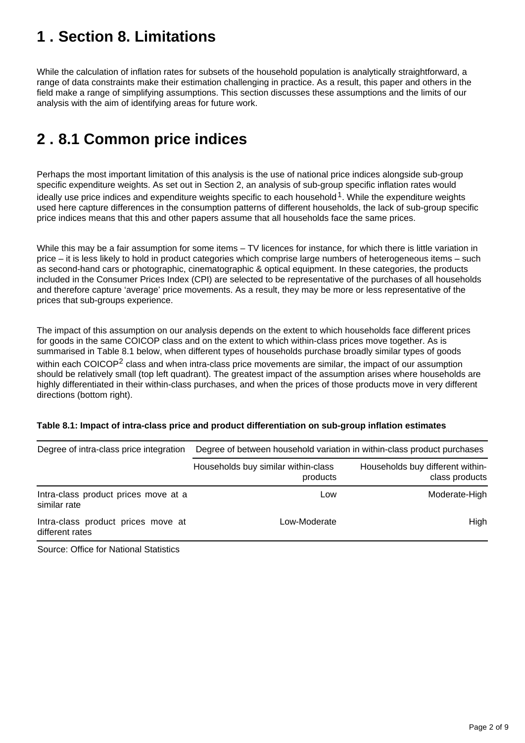# <span id="page-1-0"></span>**1 . Section 8. Limitations**

While the calculation of inflation rates for subsets of the household population is analytically straightforward, a range of data constraints make their estimation challenging in practice. As a result, this paper and others in the field make a range of simplifying assumptions. This section discusses these assumptions and the limits of our analysis with the aim of identifying areas for future work.

# <span id="page-1-1"></span>**2 . 8.1 Common price indices**

Perhaps the most important limitation of this analysis is the use of national price indices alongside sub-group specific expenditure weights. As set out in Section 2, an analysis of sub-group specific inflation rates would ideally use price indices and expenditure weights specific to each household<sup>1</sup>. While the expenditure weights used here capture differences in the consumption patterns of different households, the lack of sub-group specific price indices means that this and other papers assume that all households face the same prices.

While this may be a fair assumption for some items – TV licences for instance, for which there is little variation in price – it is less likely to hold in product categories which comprise large numbers of heterogeneous items – such as second-hand cars or photographic, cinematographic & optical equipment. In these categories, the products included in the Consumer Prices Index (CPI) are selected to be representative of the purchases of all households and therefore capture 'average' price movements. As a result, they may be more or less representative of the prices that sub-groups experience.

The impact of this assumption on our analysis depends on the extent to which households face different prices for goods in the same COICOP class and on the extent to which within-class prices move together. As is summarised in Table 8.1 below, when different types of households purchase broadly similar types of goods within each COICOP<sup>2</sup> class and when intra-class price movements are similar, the impact of our assumption should be relatively small (top left quadrant). The greatest impact of the assumption arises where households are highly differentiated in their within-class purchases, and when the prices of those products move in very different directions (bottom right).

#### **Table 8.1: Impact of intra-class price and product differentiation on sub-group inflation estimates**

| Degree of intra-class price integration               | Degree of between household variation in within-class product purchases |                                                    |
|-------------------------------------------------------|-------------------------------------------------------------------------|----------------------------------------------------|
|                                                       | Households buy similar within-class<br>products                         | Households buy different within-<br>class products |
| Intra-class product prices move at a<br>similar rate  | Low                                                                     | Moderate-High                                      |
| Intra-class product prices move at<br>different rates | Low-Moderate                                                            | High                                               |

Source: Office for National Statistics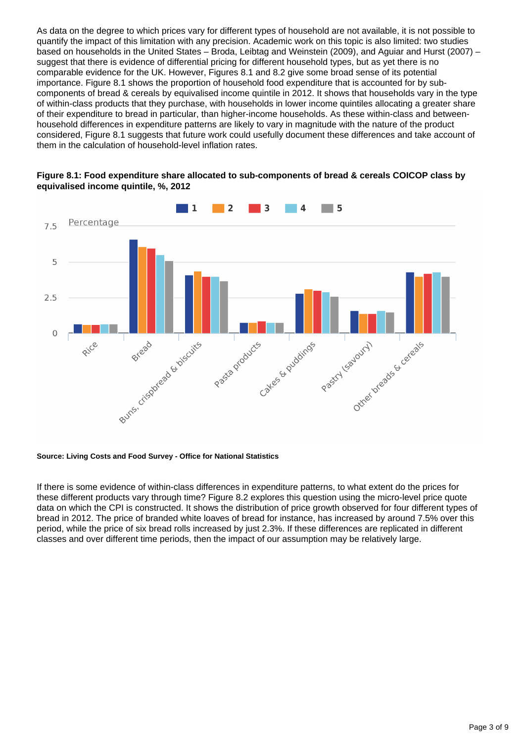As data on the degree to which prices vary for different types of household are not available, it is not possible to quantify the impact of this limitation with any precision. Academic work on this topic is also limited: two studies based on households in the United States – Broda, Leibtag and Weinstein (2009), and Aguiar and Hurst (2007) – suggest that there is evidence of differential pricing for different household types, but as yet there is no comparable evidence for the UK. However, Figures 8.1 and 8.2 give some broad sense of its potential importance. Figure 8.1 shows the proportion of household food expenditure that is accounted for by subcomponents of bread & cereals by equivalised income quintile in 2012. It shows that households vary in the type of within-class products that they purchase, with households in lower income quintiles allocating a greater share of their expenditure to bread in particular, than higher-income households. As these within-class and betweenhousehold differences in expenditure patterns are likely to vary in magnitude with the nature of the product considered, Figure 8.1 suggests that future work could usefully document these differences and take account of them in the calculation of household-level inflation rates.



#### **Figure 8.1: Food expenditure share allocated to sub-components of bread & cereals COICOP class by equivalised income quintile, %, 2012**

#### **Source: Living Costs and Food Survey - Office for National Statistics**

If there is some evidence of within-class differences in expenditure patterns, to what extent do the prices for these different products vary through time? Figure 8.2 explores this question using the micro-level price quote data on which the CPI is constructed. It shows the distribution of price growth observed for four different types of bread in 2012. The price of branded white loaves of bread for instance, has increased by around 7.5% over this period, while the price of six bread rolls increased by just 2.3%. If these differences are replicated in different classes and over different time periods, then the impact of our assumption may be relatively large.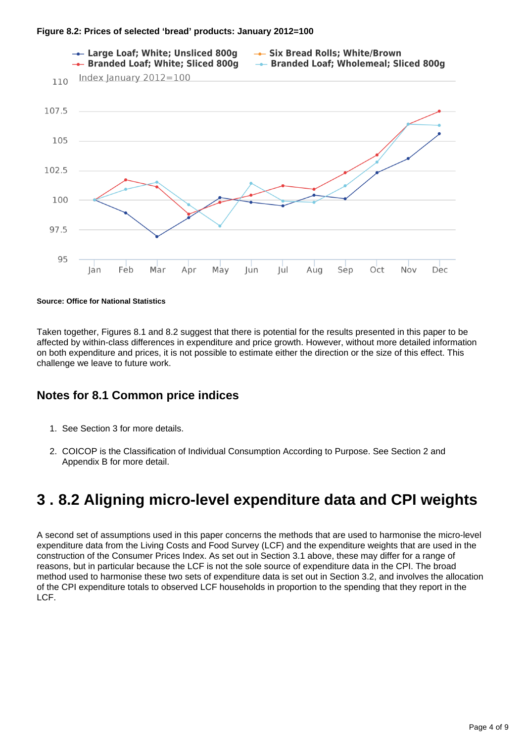

**Source: Office for National Statistics**

Taken together, Figures 8.1 and 8.2 suggest that there is potential for the results presented in this paper to be affected by within-class differences in expenditure and price growth. However, without more detailed information on both expenditure and prices, it is not possible to estimate either the direction or the size of this effect. This challenge we leave to future work.

## **Notes for 8.1 Common price indices**

- 1. See Section 3 for more details.
- 2. COICOP is the Classification of Individual Consumption According to Purpose. See Section 2 and Appendix B for more detail.

# <span id="page-3-0"></span>**3 . 8.2 Aligning micro-level expenditure data and CPI weights**

A second set of assumptions used in this paper concerns the methods that are used to harmonise the micro-level expenditure data from the Living Costs and Food Survey (LCF) and the expenditure weights that are used in the construction of the Consumer Prices Index. As set out in Section 3.1 above, these may differ for a range of reasons, but in particular because the LCF is not the sole source of expenditure data in the CPI. The broad method used to harmonise these two sets of expenditure data is set out in Section 3.2, and involves the allocation of the CPI expenditure totals to observed LCF households in proportion to the spending that they report in the LCF.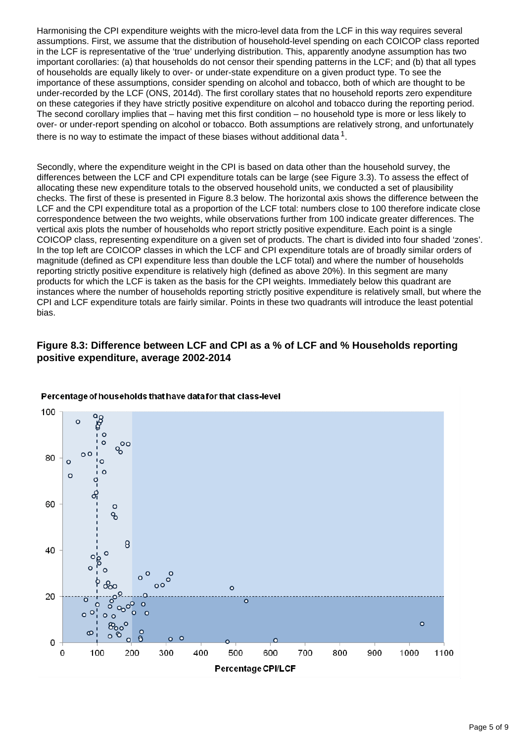Harmonising the CPI expenditure weights with the micro-level data from the LCF in this way requires several assumptions. First, we assume that the distribution of household-level spending on each COICOP class reported in the LCF is representative of the 'true' underlying distribution. This, apparently anodyne assumption has two important corollaries: (a) that households do not censor their spending patterns in the LCF; and (b) that all types of households are equally likely to over- or under-state expenditure on a given product type. To see the importance of these assumptions, consider spending on alcohol and tobacco, both of which are thought to be under-recorded by the LCF (ONS, 2014d). The first corollary states that no household reports zero expenditure on these categories if they have strictly positive expenditure on alcohol and tobacco during the reporting period. The second corollary implies that – having met this first condition – no household type is more or less likely to over- or under-report spending on alcohol or tobacco. Both assumptions are relatively strong, and unfortunately there is no way to estimate the impact of these biases without additional data  $^1.$ 

Secondly, where the expenditure weight in the CPI is based on data other than the household survey, the differences between the LCF and CPI expenditure totals can be large (see Figure 3.3). To assess the effect of allocating these new expenditure totals to the observed household units, we conducted a set of plausibility checks. The first of these is presented in Figure 8.3 below. The horizontal axis shows the difference between the LCF and the CPI expenditure total as a proportion of the LCF total: numbers close to 100 therefore indicate close correspondence between the two weights, while observations further from 100 indicate greater differences. The vertical axis plots the number of households who report strictly positive expenditure. Each point is a single COICOP class, representing expenditure on a given set of products. The chart is divided into four shaded 'zones'. In the top left are COICOP classes in which the LCF and CPI expenditure totals are of broadly similar orders of magnitude (defined as CPI expenditure less than double the LCF total) and where the number of households reporting strictly positive expenditure is relatively high (defined as above 20%). In this segment are many products for which the LCF is taken as the basis for the CPI weights. Immediately below this quadrant are instances where the number of households reporting strictly positive expenditure is relatively small, but where the CPI and LCF expenditure totals are fairly similar. Points in these two quadrants will introduce the least potential bias.

### **Figure 8.3: Difference between LCF and CPI as a % of LCF and % Households reporting positive expenditure, average 2002-2014**

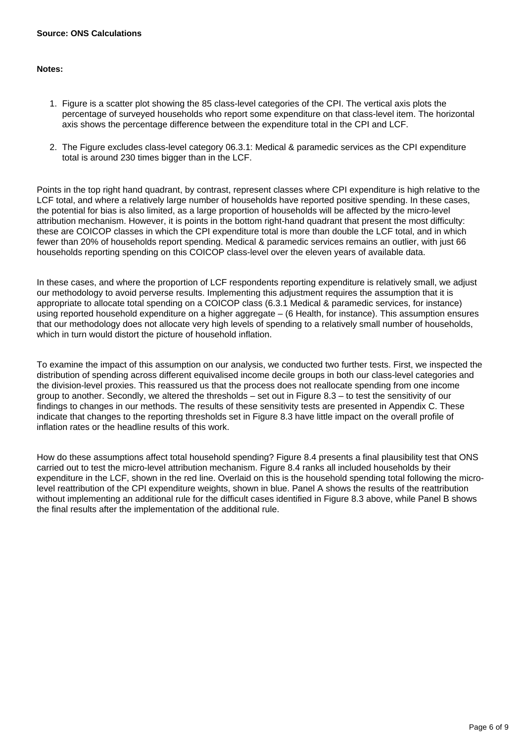#### **Source: ONS Calculations**

#### **Notes:**

- 1. Figure is a scatter plot showing the 85 class-level categories of the CPI. The vertical axis plots the percentage of surveyed households who report some expenditure on that class-level item. The horizontal axis shows the percentage difference between the expenditure total in the CPI and LCF.
- 2. The Figure excludes class-level category 06.3.1: Medical & paramedic services as the CPI expenditure total is around 230 times bigger than in the LCF.

Points in the top right hand quadrant, by contrast, represent classes where CPI expenditure is high relative to the LCF total, and where a relatively large number of households have reported positive spending. In these cases, the potential for bias is also limited, as a large proportion of households will be affected by the micro-level attribution mechanism. However, it is points in the bottom right-hand quadrant that present the most difficulty: these are COICOP classes in which the CPI expenditure total is more than double the LCF total, and in which fewer than 20% of households report spending. Medical & paramedic services remains an outlier, with just 66 households reporting spending on this COICOP class-level over the eleven years of available data.

In these cases, and where the proportion of LCF respondents reporting expenditure is relatively small, we adjust our methodology to avoid perverse results. Implementing this adjustment requires the assumption that it is appropriate to allocate total spending on a COICOP class (6.3.1 Medical & paramedic services, for instance) using reported household expenditure on a higher aggregate – (6 Health, for instance). This assumption ensures that our methodology does not allocate very high levels of spending to a relatively small number of households, which in turn would distort the picture of household inflation.

To examine the impact of this assumption on our analysis, we conducted two further tests. First, we inspected the distribution of spending across different equivalised income decile groups in both our class-level categories and the division-level proxies. This reassured us that the process does not reallocate spending from one income group to another. Secondly, we altered the thresholds – set out in Figure 8.3 – to test the sensitivity of our findings to changes in our methods. The results of these sensitivity tests are presented in Appendix C. These indicate that changes to the reporting thresholds set in Figure 8.3 have little impact on the overall profile of inflation rates or the headline results of this work.

How do these assumptions affect total household spending? Figure 8.4 presents a final plausibility test that ONS carried out to test the micro-level attribution mechanism. Figure 8.4 ranks all included households by their expenditure in the LCF, shown in the red line. Overlaid on this is the household spending total following the microlevel reattribution of the CPI expenditure weights, shown in blue. Panel A shows the results of the reattribution without implementing an additional rule for the difficult cases identified in Figure 8.3 above, while Panel B shows the final results after the implementation of the additional rule.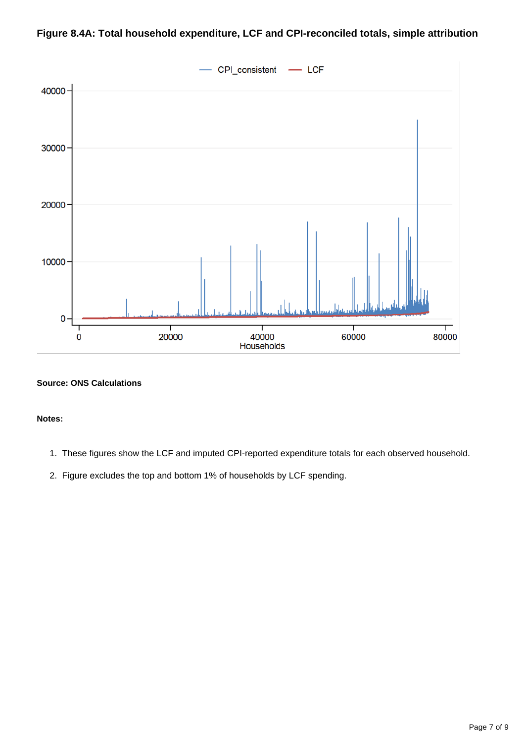

## **Figure 8.4A: Total household expenditure, LCF and CPI-reconciled totals, simple attribution**

#### **Source: ONS Calculations**

#### **Notes:**

- 1. These figures show the LCF and imputed CPI-reported expenditure totals for each observed household.
- 2. Figure excludes the top and bottom 1% of households by LCF spending.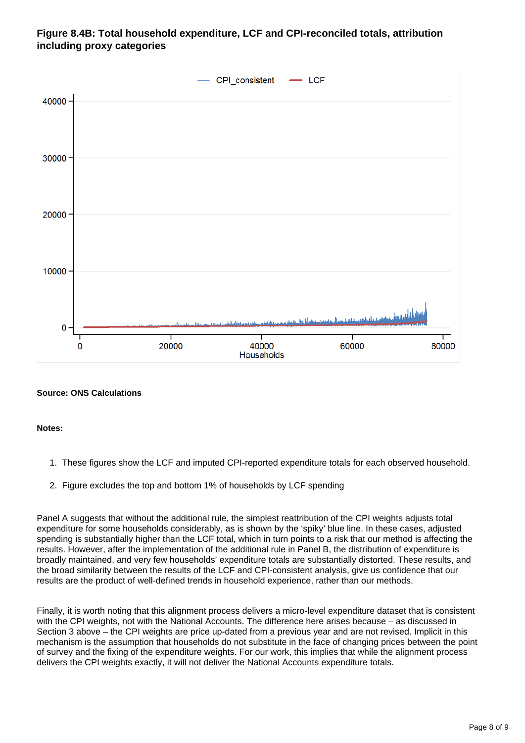## **Figure 8.4B: Total household expenditure, LCF and CPI-reconciled totals, attribution including proxy categories**



#### **Source: ONS Calculations**

#### **Notes:**

- 1. These figures show the LCF and imputed CPI-reported expenditure totals for each observed household.
- 2. Figure excludes the top and bottom 1% of households by LCF spending

Panel A suggests that without the additional rule, the simplest reattribution of the CPI weights adjusts total expenditure for some households considerably, as is shown by the 'spiky' blue line. In these cases, adjusted spending is substantially higher than the LCF total, which in turn points to a risk that our method is affecting the results. However, after the implementation of the additional rule in Panel B, the distribution of expenditure is broadly maintained, and very few households' expenditure totals are substantially distorted. These results, and the broad similarity between the results of the LCF and CPI-consistent analysis, give us confidence that our results are the product of well-defined trends in household experience, rather than our methods.

Finally, it is worth noting that this alignment process delivers a micro-level expenditure dataset that is consistent with the CPI weights, not with the National Accounts. The difference here arises because – as discussed in Section 3 above – the CPI weights are price up-dated from a previous year and are not revised. Implicit in this mechanism is the assumption that households do not substitute in the face of changing prices between the point of survey and the fixing of the expenditure weights. For our work, this implies that while the alignment process delivers the CPI weights exactly, it will not deliver the National Accounts expenditure totals.